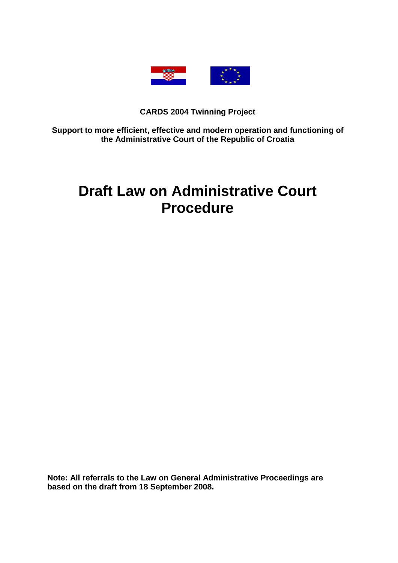

# **CARDS 2004 Twinning Project**

**Support to more efficient, effective and modern operation and functioning of the Administrative Court of the Republic of Croatia** 

# **Draft Law on Administrative Court Procedure**

**Note: All referrals to the Law on General Administrative Proceedings are based on the draft from 18 September 2008.**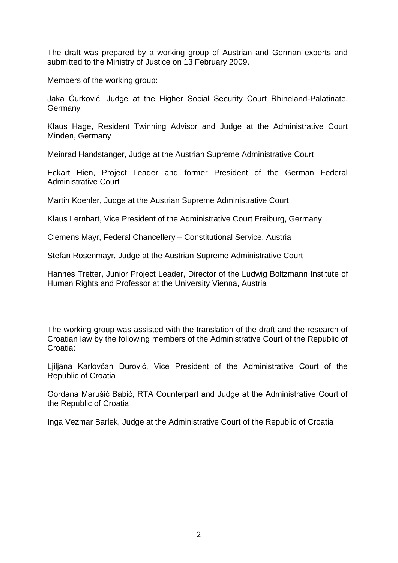The draft was prepared by a working group of Austrian and German experts and submitted to the Ministry of Justice on 13 February 2009.

Members of the working group:

Jaka Ćurković, Judge at the Higher Social Security Court Rhineland-Palatinate, **Germany** 

Klaus Hage, Resident Twinning Advisor and Judge at the Administrative Court Minden, Germany

Meinrad Handstanger, Judge at the Austrian Supreme Administrative Court

Eckart Hien, Project Leader and former President of the German Federal Administrative Court

Martin Koehler, Judge at the Austrian Supreme Administrative Court

Klaus Lernhart, Vice President of the Administrative Court Freiburg, Germany

Clemens Mayr, Federal Chancellery – Constitutional Service, Austria

Stefan Rosenmayr, Judge at the Austrian Supreme Administrative Court

Hannes Tretter, Junior Project Leader, Director of the Ludwig Boltzmann Institute of Human Rights and Professor at the University Vienna, Austria

The working group was assisted with the translation of the draft and the research of Croatian law by the following members of the Administrative Court of the Republic of Croatia:

Ljiljana Karlovčan Đurović, Vice President of the Administrative Court of the Republic of Croatia

Gordana Marušić Babić, RTA Counterpart and Judge at the Administrative Court of the Republic of Croatia

Inga Vezmar Barlek, Judge at the Administrative Court of the Republic of Croatia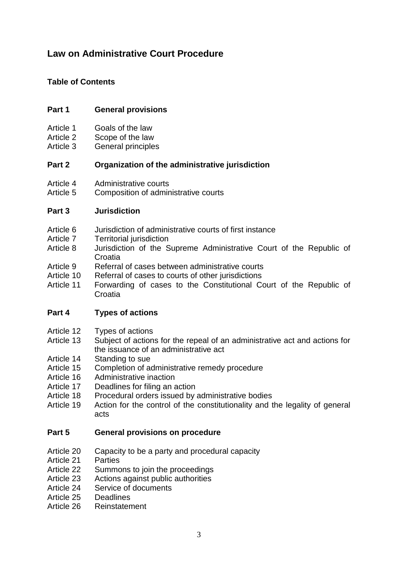# **Law on Administrative Court Procedure**

# **Table of Contents**

# **Part 1 General provisions**

- Article 1 Goals of the law
- Article 2 Scope of the law
- Article 3 General principles

# **Part 2 Organization of the administrative jurisdiction**

- Article 4 Administrative courts
- Article 5 Composition of administrative courts

# **Part 3 Jurisdiction**

- Article 6 Jurisdiction of administrative courts of first instance
- Article 7 Territorial jurisdiction
- Article 8 Jurisdiction of the Supreme Administrative Court of the Republic of **Croatia**
- Article 9 Referral of cases between administrative courts
- Article 10 Referral of cases to courts of other jurisdictions
- Article 11 Forwarding of cases to the Constitutional Court of the Republic of Croatia

# **Part 4 Types of actions**

- Article 12 Types of actions
- Article 13 Subject of actions for the repeal of an administrative act and actions for the issuance of an administrative act
- Article 14 Standing to sue
- Article 15 Completion of administrative remedy procedure
- Article 16 Administrative inaction
- Article 17 Deadlines for filing an action
- Article 18 Procedural orders issued by administrative bodies
- Article 19 Action for the control of the constitutionality and the legality of general acts

### **Part 5 General provisions on procedure**

- Article 20 Capacity to be a party and procedural capacity
- Article 21 Parties
- Article 22 Summons to join the proceedings
- Article 23 Actions against public authorities
- Article 24 Service of documents
- Article 25 Deadlines
- Article 26 Reinstatement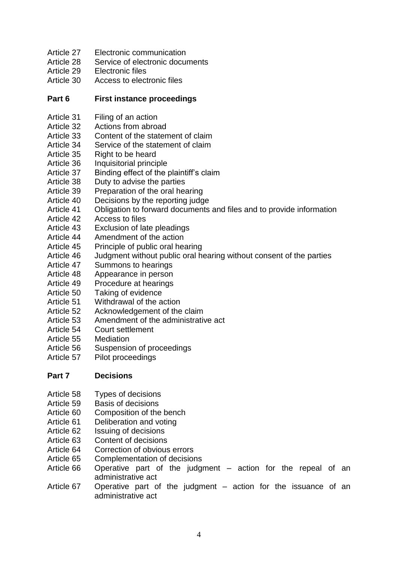- Article 27 Electronic communication
- Article 28 Service of electronic documents
- Article 29 Electronic files
- Article 30 Access to electronic files

# **Part 6 First instance proceedings**

- Article 31 Filing of an action
- Article 32 Actions from abroad
- Article 33 Content of the statement of claim
- Article 34 Service of the statement of claim
- Article 35 Right to be heard
- Article 36 Inquisitorial principle
- Article 37 Binding effect of the plaintiff's claim
- Article 38 Duty to advise the parties
- Article 39 Preparation of the oral hearing
- Article 40 Decisions by the reporting judge
- Article 41 Obligation to forward documents and files and to provide information
- Article 42 Access to files
- Article 43 Exclusion of late pleadings
- Article 44 Amendment of the action
- Article 45 Principle of public oral hearing
- Article 46 Judgment without public oral hearing without consent of the parties
- Article 47 Summons to hearings
- Article 48 Appearance in person
- Article 49 Procedure at hearings
- Article 50 Taking of evidence
- Article 51 Withdrawal of the action
- Article 52 Acknowledgement of the claim
- Article 53 Amendment of the administrative act
- Article 54 Court settlement
- Article 55 Mediation
- Article 56 Suspension of proceedings
- Article 57 Pilot proceedings

# **Part 7 Decisions**

- Article 58 Types of decisions
- Article 59 Basis of decisions
- Article 60 Composition of the bench
- Article 61 Deliberation and voting
- Article 62 Issuing of decisions
- Article 63 Content of decisions
- Article 64 Correction of obvious errors
- Article 65 Complementation of decisions
- Article 66 Operative part of the judgment action for the repeal of an administrative act
- Article 67 Operative part of the judgment action for the issuance of an administrative act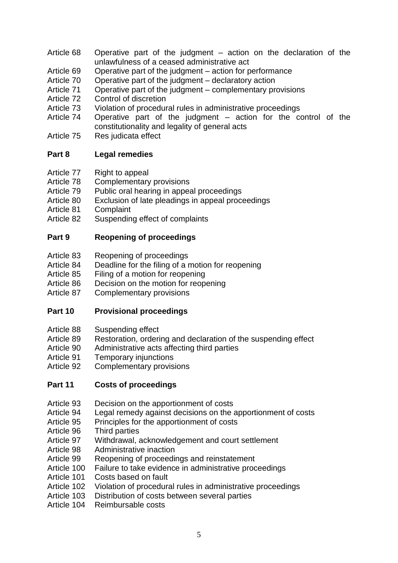- Article 68 Operative part of the judgment action on the declaration of the unlawfulness of a ceased administrative act
- Article 69 Operative part of the judgment action for performance
- Article 70 Operative part of the judgment declaratory action
- Article 71 Operative part of the judgment complementary provisions
- Article 72 Control of discretion
- Article 73 Violation of procedural rules in administrative proceedings
- Article 74 Operative part of the judgment action for the control of the constitutionality and legality of general acts
- Article 75 Res judicata effect

# **Part 8 Legal remedies**

- Article 77 Right to appeal
- Article 78 Complementary provisions
- Article 79 Public oral hearing in appeal proceedings
- Article 80 Exclusion of late pleadings in appeal proceedings
- Article 81 Complaint
- Article 82 Suspending effect of complaints

# **Part 9 Reopening of proceedings**

- Article 83 Reopening of proceedings
- Article 84 Deadline for the filing of a motion for reopening
- Article 85 Filing of a motion for reopening
- Article 86 Decision on the motion for reopening
- Article 87 Complementary provisions

### **Part 10 Provisional proceedings**

- Article 88 Suspending effect
- Article 89 Restoration, ordering and declaration of the suspending effect
- Article 90 Administrative acts affecting third parties
- Article 91 Temporary injunctions
- Article 92 Complementary provisions

# **Part 11 Costs of proceedings**

- Article 93 Decision on the apportionment of costs
- Article 94 Legal remedy against decisions on the apportionment of costs
- Article 95 Principles for the apportionment of costs
- Article 96 Third parties
- Article 97 Withdrawal, acknowledgement and court settlement
- Article 98 Administrative inaction
- Article 99 Reopening of proceedings and reinstatement
- Article 100 Failure to take evidence in administrative proceedings
- Article 101 Costs based on fault
- Article 102 Violation of procedural rules in administrative proceedings
- Article 103 Distribution of costs between several parties
- Article 104 Reimbursable costs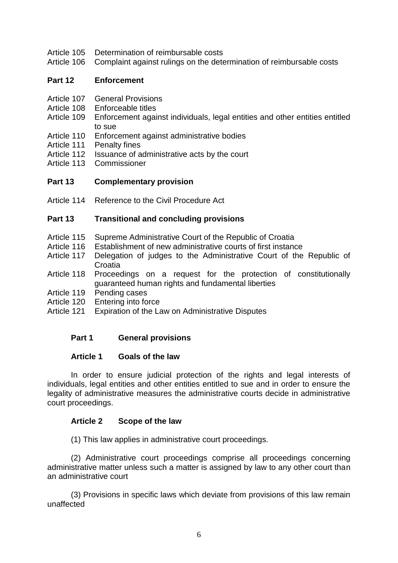- Article 105 Determination of reimbursable costs
- Article 106 Complaint against rulings on the determination of reimbursable costs

### **Part 12 Enforcement**

- Article 107 General Provisions
- Article 108 Enforceable titles<br>Article 109 Enforcement agai
- Enforcement against individuals, legal entities and other entities entitled to sue
- Article 110 Enforcement against administrative bodies
- Article 111 Penalty fines
- Article 112 Issuance of administrative acts by the court
- Article 113 Commissioner

### **Part 13 Complementary provision**

Article 114 Reference to the Civil Procedure Act

### **Part 13 Transitional and concluding provisions**

- Article 115 Supreme Administrative Court of the Republic of Croatia
- Article 116 Establishment of new administrative courts of first instance
- Article 117 Delegation of judges to the Administrative Court of the Republic of Croatia
- Article 118 Proceedings on a request for the protection of constitutionally guaranteed human rights and fundamental liberties
- Article 119 Pending cases
- Article 120 Entering into force
- Article 121 Expiration of the Law on Administrative Disputes

### **Part 1 General provisions**

#### **Article 1 Goals of the law**

In order to ensure judicial protection of the rights and legal interests of individuals, legal entities and other entities entitled to sue and in order to ensure the legality of administrative measures the administrative courts decide in administrative court proceedings.

### **Article 2 Scope of the law**

(1) This law applies in administrative court proceedings.

(2) Administrative court proceedings comprise all proceedings concerning administrative matter unless such a matter is assigned by law to any other court than an administrative court

(3) Provisions in specific laws which deviate from provisions of this law remain unaffected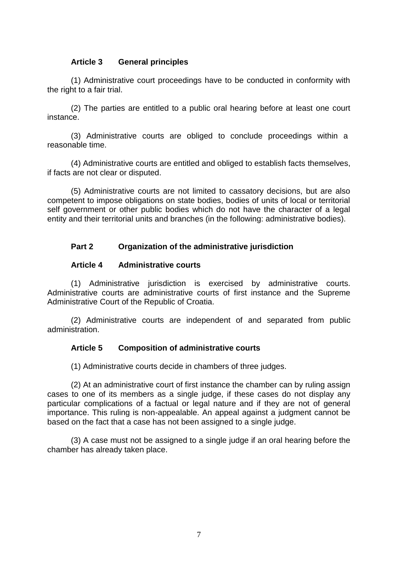### **Article 3 General principles**

(1) Administrative court proceedings have to be conducted in conformity with the right to a fair trial.

(2) The parties are entitled to a public oral hearing before at least one court instance.

(3) Administrative courts are obliged to conclude proceedings within a reasonable time.

(4) Administrative courts are entitled and obliged to establish facts themselves, if facts are not clear or disputed.

(5) Administrative courts are not limited to cassatory decisions, but are also competent to impose obligations on state bodies, bodies of units of local or territorial self government or other public bodies which do not have the character of a legal entity and their territorial units and branches (in the following: administrative bodies).

### **Part 2 Organization of the administrative jurisdiction**

#### **Article 4 Administrative courts**

(1) Administrative jurisdiction is exercised by administrative courts. Administrative courts are administrative courts of first instance and the Supreme Administrative Court of the Republic of Croatia.

(2) Administrative courts are independent of and separated from public administration.

### **Article 5 Composition of administrative courts**

(1) Administrative courts decide in chambers of three judges.

(2) At an administrative court of first instance the chamber can by ruling assign cases to one of its members as a single judge, if these cases do not display any particular complications of a factual or legal nature and if they are not of general importance. This ruling is non-appealable. An appeal against a judgment cannot be based on the fact that a case has not been assigned to a single judge.

(3) A case must not be assigned to a single judge if an oral hearing before the chamber has already taken place.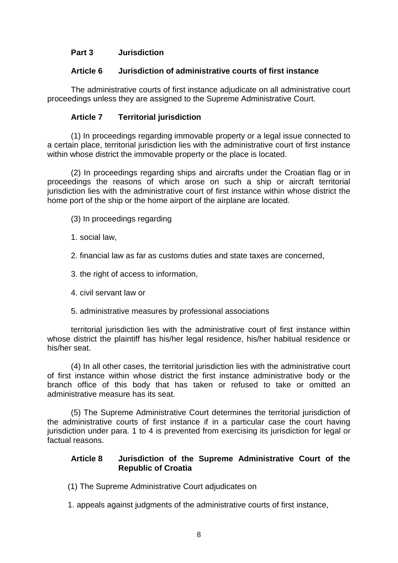# **Part 3 Jurisdiction**

### **Article 6 Jurisdiction of administrative courts of first instance**

The administrative courts of first instance adjudicate on all administrative court proceedings unless they are assigned to the Supreme Administrative Court.

# **Article 7 Territorial jurisdiction**

(1) In proceedings regarding immovable property or a legal issue connected to a certain place, territorial jurisdiction lies with the administrative court of first instance within whose district the immovable property or the place is located.

(2) In proceedings regarding ships and aircrafts under the Croatian flag or in proceedings the reasons of which arose on such a ship or aircraft territorial jurisdiction lies with the administrative court of first instance within whose district the home port of the ship or the home airport of the airplane are located.

(3) In proceedings regarding

- 1. social law,
- 2. financial law as far as customs duties and state taxes are concerned,
- 3. the right of access to information,
- 4. civil servant law or
- 5. administrative measures by professional associations

territorial jurisdiction lies with the administrative court of first instance within whose district the plaintiff has his/her legal residence, his/her habitual residence or his/her seat.

(4) In all other cases, the territorial jurisdiction lies with the administrative court of first instance within whose district the first instance administrative body or the branch office of this body that has taken or refused to take or omitted an administrative measure has its seat.

(5) The Supreme Administrative Court determines the territorial jurisdiction of the administrative courts of first instance if in a particular case the court having jurisdiction under para. 1 to 4 is prevented from exercising its jurisdiction for legal or factual reasons.

### **Article 8 Jurisdiction of the Supreme Administrative Court of the Republic of Croatia**

- (1) The Supreme Administrative Court adjudicates on
- 1. appeals against judgments of the administrative courts of first instance,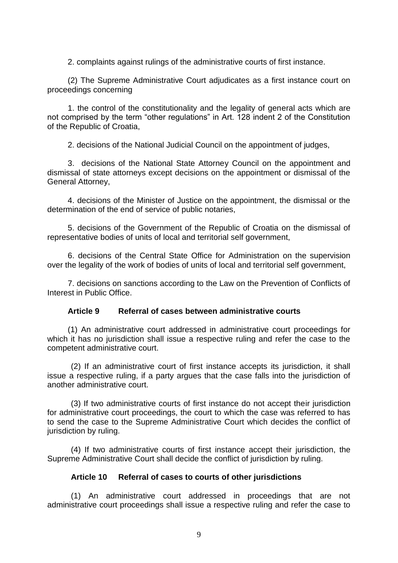2. complaints against rulings of the administrative courts of first instance.

(2) The Supreme Administrative Court adjudicates as a first instance court on proceedings concerning

1. the control of the constitutionality and the legality of general acts which are not comprised by the term "other regulations" in Art. 128 indent 2 of the Constitution of the Republic of Croatia,

2. decisions of the National Judicial Council on the appointment of judges,

3. decisions of the National State Attorney Council on the appointment and dismissal of state attorneys except decisions on the appointment or dismissal of the General Attorney,

4. decisions of the Minister of Justice on the appointment, the dismissal or the determination of the end of service of public notaries,

5. decisions of the Government of the Republic of Croatia on the dismissal of representative bodies of units of local and territorial self government,

6. decisions of the Central State Office for Administration on the supervision over the legality of the work of bodies of units of local and territorial self government,

7. decisions on sanctions according to the Law on the Prevention of Conflicts of Interest in Public Office.

### **Article 9 Referral of cases between administrative courts**

(1) An administrative court addressed in administrative court proceedings for which it has no jurisdiction shall issue a respective ruling and refer the case to the competent administrative court.

(2) If an administrative court of first instance accepts its jurisdiction, it shall issue a respective ruling, if a party argues that the case falls into the jurisdiction of another administrative court.

(3) If two administrative courts of first instance do not accept their jurisdiction for administrative court proceedings, the court to which the case was referred to has to send the case to the Supreme Administrative Court which decides the conflict of jurisdiction by ruling.

(4) If two administrative courts of first instance accept their jurisdiction, the Supreme Administrative Court shall decide the conflict of jurisdiction by ruling.

#### **Article 10 Referral of cases to courts of other jurisdictions**

(1) An administrative court addressed in proceedings that are not administrative court proceedings shall issue a respective ruling and refer the case to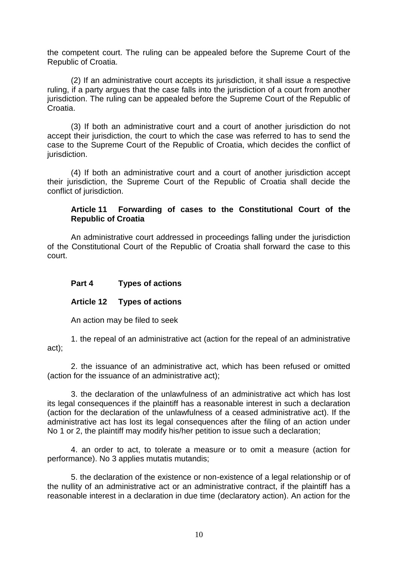the competent court. The ruling can be appealed before the Supreme Court of the Republic of Croatia.

(2) If an administrative court accepts its jurisdiction, it shall issue a respective ruling, if a party argues that the case falls into the jurisdiction of a court from another jurisdiction. The ruling can be appealed before the Supreme Court of the Republic of Croatia.

(3) If both an administrative court and a court of another jurisdiction do not accept their jurisdiction, the court to which the case was referred to has to send the case to the Supreme Court of the Republic of Croatia, which decides the conflict of jurisdiction.

(4) If both an administrative court and a court of another jurisdiction accept their jurisdiction, the Supreme Court of the Republic of Croatia shall decide the conflict of jurisdiction.

### **Article 11 Forwarding of cases to the Constitutional Court of the Republic of Croatia**

An administrative court addressed in proceedings falling under the jurisdiction of the Constitutional Court of the Republic of Croatia shall forward the case to this court.

### **Part 4 Types of actions**

### **Article 12 Types of actions**

An action may be filed to seek

1. the repeal of an administrative act (action for the repeal of an administrative act);

2. the issuance of an administrative act, which has been refused or omitted (action for the issuance of an administrative act);

3. the declaration of the unlawfulness of an administrative act which has lost its legal consequences if the plaintiff has a reasonable interest in such a declaration (action for the declaration of the unlawfulness of a ceased administrative act). If the administrative act has lost its legal consequences after the filing of an action under No 1 or 2, the plaintiff may modify his/her petition to issue such a declaration;

4. an order to act, to tolerate a measure or to omit a measure (action for performance). No 3 applies mutatis mutandis;

5. the declaration of the existence or non-existence of a legal relationship or of the nullity of an administrative act or an administrative contract, if the plaintiff has a reasonable interest in a declaration in due time (declaratory action). An action for the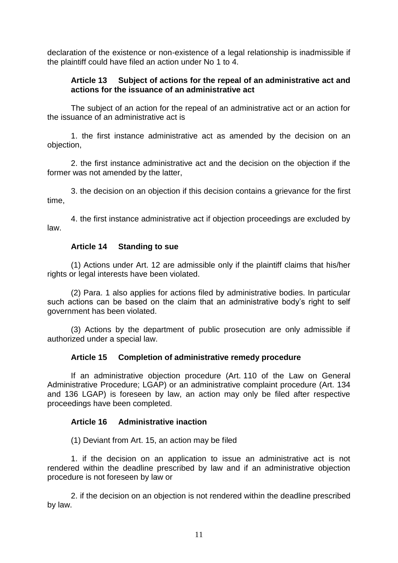declaration of the existence or non-existence of a legal relationship is inadmissible if the plaintiff could have filed an action under No 1 to 4.

### **Article 13 Subject of actions for the repeal of an administrative act and actions for the issuance of an administrative act**

The subject of an action for the repeal of an administrative act or an action for the issuance of an administrative act is

1. the first instance administrative act as amended by the decision on an objection,

2. the first instance administrative act and the decision on the objection if the former was not amended by the latter,

3. the decision on an objection if this decision contains a grievance for the first time,

4. the first instance administrative act if objection proceedings are excluded by law.

### **Article 14 Standing to sue**

(1) Actions under Art. 12 are admissible only if the plaintiff claims that his/her rights or legal interests have been violated.

(2) Para. 1 also applies for actions filed by administrative bodies. In particular such actions can be based on the claim that an administrative body's right to self government has been violated.

(3) Actions by the department of public prosecution are only admissible if authorized under a special law.

#### **Article 15 Completion of administrative remedy procedure**

If an administrative objection procedure (Art. 110 of the Law on General Administrative Procedure; LGAP) or an administrative complaint procedure (Art. 134 and 136 LGAP) is foreseen by law, an action may only be filed after respective proceedings have been completed.

#### **Article 16 Administrative inaction**

(1) Deviant from Art. 15, an action may be filed

1. if the decision on an application to issue an administrative act is not rendered within the deadline prescribed by law and if an administrative objection procedure is not foreseen by law or

2. if the decision on an objection is not rendered within the deadline prescribed by law.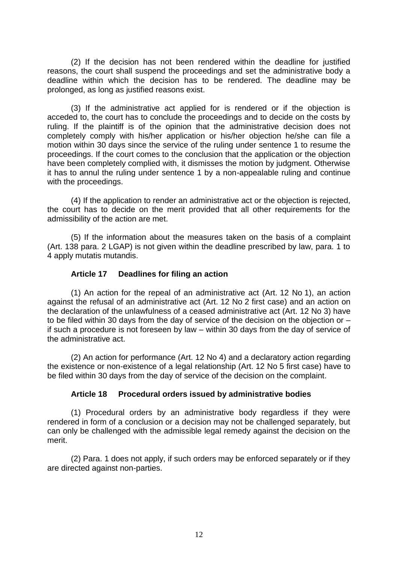(2) If the decision has not been rendered within the deadline for justified reasons, the court shall suspend the proceedings and set the administrative body a deadline within which the decision has to be rendered. The deadline may be prolonged, as long as justified reasons exist.

(3) If the administrative act applied for is rendered or if the objection is acceded to, the court has to conclude the proceedings and to decide on the costs by ruling. If the plaintiff is of the opinion that the administrative decision does not completely comply with his/her application or his/her objection he/she can file a motion within 30 days since the service of the ruling under sentence 1 to resume the proceedings. If the court comes to the conclusion that the application or the objection have been completely complied with, it dismisses the motion by judgment. Otherwise it has to annul the ruling under sentence 1 by a non-appealable ruling and continue with the proceedings.

(4) If the application to render an administrative act or the objection is rejected, the court has to decide on the merit provided that all other requirements for the admissibility of the action are met.

(5) If the information about the measures taken on the basis of a complaint (Art. 138 para. 2 LGAP) is not given within the deadline prescribed by law, para. 1 to 4 apply mutatis mutandis.

### **Article 17 Deadlines for filing an action**

(1) An action for the repeal of an administrative act (Art. 12 No 1), an action against the refusal of an administrative act (Art. 12 No 2 first case) and an action on the declaration of the unlawfulness of a ceased administrative act (Art. 12 No 3) have to be filed within 30 days from the day of service of the decision on the objection or – if such a procedure is not foreseen by law – within 30 days from the day of service of the administrative act.

(2) An action for performance (Art. 12 No 4) and a declaratory action regarding the existence or non-existence of a legal relationship (Art. 12 No 5 first case) have to be filed within 30 days from the day of service of the decision on the complaint.

### **Article 18 Procedural orders issued by administrative bodies**

(1) Procedural orders by an administrative body regardless if they were rendered in form of a conclusion or a decision may not be challenged separately, but can only be challenged with the admissible legal remedy against the decision on the merit.

(2) Para. 1 does not apply, if such orders may be enforced separately or if they are directed against non-parties.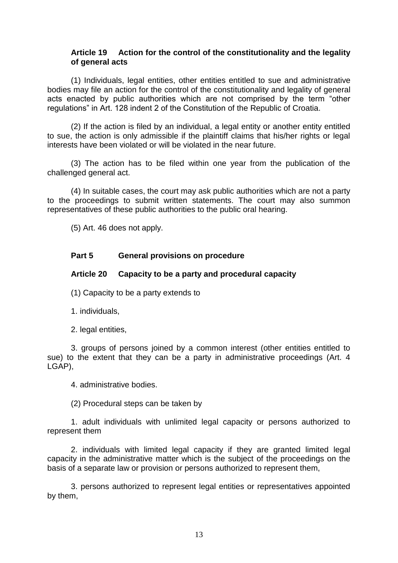### **Article 19 Action for the control of the constitutionality and the legality of general acts**

(1) Individuals, legal entities, other entities entitled to sue and administrative bodies may file an action for the control of the constitutionality and legality of general acts enacted by public authorities which are not comprised by the term "other regulations" in Art. 128 indent 2 of the Constitution of the Republic of Croatia.

(2) If the action is filed by an individual, a legal entity or another entity entitled to sue, the action is only admissible if the plaintiff claims that his/her rights or legal interests have been violated or will be violated in the near future.

(3) The action has to be filed within one year from the publication of the challenged general act.

(4) In suitable cases, the court may ask public authorities which are not a party to the proceedings to submit written statements. The court may also summon representatives of these public authorities to the public oral hearing.

(5) Art. 46 does not apply.

### **Part 5 General provisions on procedure**

### **Article 20 Capacity to be a party and procedural capacity**

(1) Capacity to be a party extends to

1. individuals,

2. legal entities,

3. groups of persons joined by a common interest (other entities entitled to sue) to the extent that they can be a party in administrative proceedings (Art. 4 LGAP),

4. administrative bodies.

(2) Procedural steps can be taken by

1. adult individuals with unlimited legal capacity or persons authorized to represent them

2. individuals with limited legal capacity if they are granted limited legal capacity in the administrative matter which is the subject of the proceedings on the basis of a separate law or provision or persons authorized to represent them,

3. persons authorized to represent legal entities or representatives appointed by them,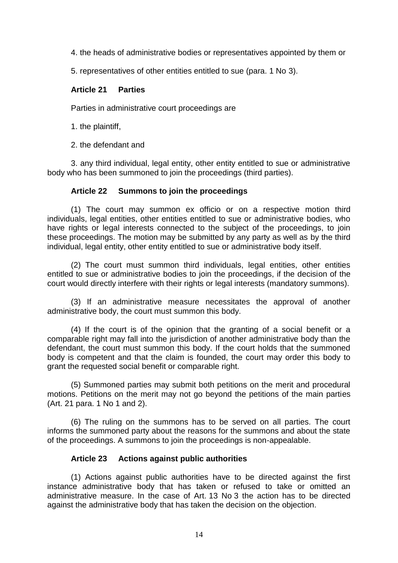4. the heads of administrative bodies or representatives appointed by them or

5. representatives of other entities entitled to sue (para. 1 No 3).

### **Article 21 Parties**

Parties in administrative court proceedings are

1. the plaintiff,

2. the defendant and

3. any third individual, legal entity, other entity entitled to sue or administrative body who has been summoned to join the proceedings (third parties).

### **Article 22 Summons to join the proceedings**

(1) The court may summon ex officio or on a respective motion third individuals, legal entities, other entities entitled to sue or administrative bodies, who have rights or legal interests connected to the subject of the proceedings, to join these proceedings. The motion may be submitted by any party as well as by the third individual, legal entity, other entity entitled to sue or administrative body itself.

(2) The court must summon third individuals, legal entities, other entities entitled to sue or administrative bodies to join the proceedings, if the decision of the court would directly interfere with their rights or legal interests (mandatory summons).

(3) If an administrative measure necessitates the approval of another administrative body, the court must summon this body.

(4) If the court is of the opinion that the granting of a social benefit or a comparable right may fall into the jurisdiction of another administrative body than the defendant, the court must summon this body. If the court holds that the summoned body is competent and that the claim is founded, the court may order this body to grant the requested social benefit or comparable right.

(5) Summoned parties may submit both petitions on the merit and procedural motions. Petitions on the merit may not go beyond the petitions of the main parties (Art. 21 para. 1 No 1 and 2).

(6) The ruling on the summons has to be served on all parties. The court informs the summoned party about the reasons for the summons and about the state of the proceedings. A summons to join the proceedings is non-appealable.

### **Article 23 Actions against public authorities**

(1) Actions against public authorities have to be directed against the first instance administrative body that has taken or refused to take or omitted an administrative measure. In the case of Art. 13 No 3 the action has to be directed against the administrative body that has taken the decision on the objection.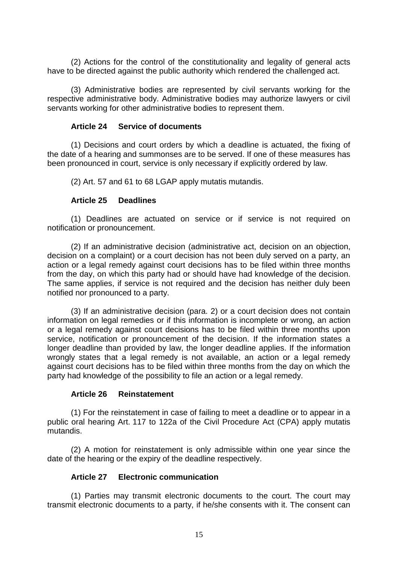(2) Actions for the control of the constitutionality and legality of general acts have to be directed against the public authority which rendered the challenged act.

(3) Administrative bodies are represented by civil servants working for the respective administrative body. Administrative bodies may authorize lawyers or civil servants working for other administrative bodies to represent them.

### **Article 24 Service of documents**

(1) Decisions and court orders by which a deadline is actuated, the fixing of the date of a hearing and summonses are to be served. If one of these measures has been pronounced in court, service is only necessary if explicitly ordered by law.

(2) Art. 57 and 61 to 68 LGAP apply mutatis mutandis.

### **Article 25 Deadlines**

(1) Deadlines are actuated on service or if service is not required on notification or pronouncement.

(2) If an administrative decision (administrative act, decision on an objection, decision on a complaint) or a court decision has not been duly served on a party, an action or a legal remedy against court decisions has to be filed within three months from the day, on which this party had or should have had knowledge of the decision. The same applies, if service is not required and the decision has neither duly been notified nor pronounced to a party.

(3) If an administrative decision (para. 2) or a court decision does not contain information on legal remedies or if this information is incomplete or wrong, an action or a legal remedy against court decisions has to be filed within three months upon service, notification or pronouncement of the decision. If the information states a longer deadline than provided by law, the longer deadline applies. If the information wrongly states that a legal remedy is not available, an action or a legal remedy against court decisions has to be filed within three months from the day on which the party had knowledge of the possibility to file an action or a legal remedy.

### **Article 26 Reinstatement**

(1) For the reinstatement in case of failing to meet a deadline or to appear in a public oral hearing Art. 117 to 122a of the Civil Procedure Act (CPA) apply mutatis mutandis.

(2) A motion for reinstatement is only admissible within one year since the date of the hearing or the expiry of the deadline respectively.

### **Article 27 Electronic communication**

(1) Parties may transmit electronic documents to the court. The court may transmit electronic documents to a party, if he/she consents with it. The consent can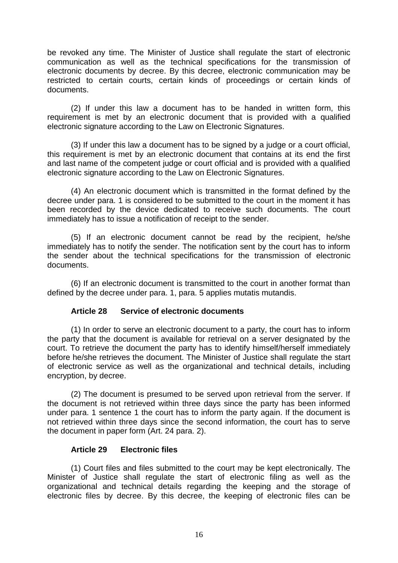be revoked any time. The Minister of Justice shall regulate the start of electronic communication as well as the technical specifications for the transmission of electronic documents by decree. By this decree, electronic communication may be restricted to certain courts, certain kinds of proceedings or certain kinds of documents.

(2) If under this law a document has to be handed in written form, this requirement is met by an electronic document that is provided with a qualified electronic signature according to the Law on Electronic Signatures.

(3) If under this law a document has to be signed by a judge or a court official, this requirement is met by an electronic document that contains at its end the first and last name of the competent judge or court official and is provided with a qualified electronic signature according to the Law on Electronic Signatures.

(4) An electronic document which is transmitted in the format defined by the decree under para. 1 is considered to be submitted to the court in the moment it has been recorded by the device dedicated to receive such documents. The court immediately has to issue a notification of receipt to the sender.

(5) If an electronic document cannot be read by the recipient, he/she immediately has to notify the sender. The notification sent by the court has to inform the sender about the technical specifications for the transmission of electronic documents.

(6) If an electronic document is transmitted to the court in another format than defined by the decree under para. 1, para. 5 applies mutatis mutandis.

### **Article 28 Service of electronic documents**

(1) In order to serve an electronic document to a party, the court has to inform the party that the document is available for retrieval on a server designated by the court. To retrieve the document the party has to identify himself/herself immediately before he/she retrieves the document. The Minister of Justice shall regulate the start of electronic service as well as the organizational and technical details, including encryption, by decree.

(2) The document is presumed to be served upon retrieval from the server. If the document is not retrieved within three days since the party has been informed under para. 1 sentence 1 the court has to inform the party again. If the document is not retrieved within three days since the second information, the court has to serve the document in paper form (Art. 24 para. 2).

### **Article 29 Electronic files**

(1) Court files and files submitted to the court may be kept electronically. The Minister of Justice shall regulate the start of electronic filing as well as the organizational and technical details regarding the keeping and the storage of electronic files by decree. By this decree, the keeping of electronic files can be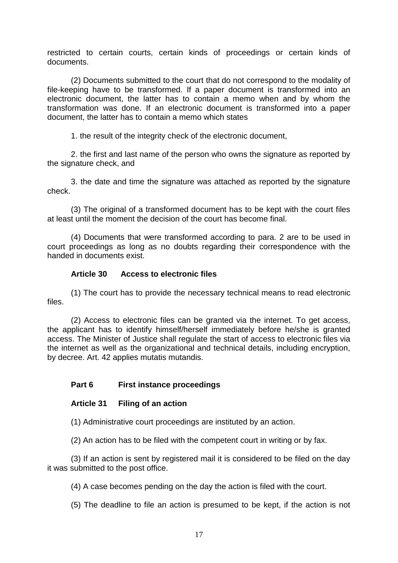restricted to certain courts, certain kinds of proceedings or certain kinds of documents.

(2) Documents submitted to the court that do not correspond to the modality of file-keeping have to be transformed. If a paper document is transformed into an electronic document, the latter has to contain a memo when and by whom the transformation was done. If an electronic document is transformed into a paper document, the latter has to contain a memo which states

1. the result of the integrity check of the electronic document,

2. the first and last name of the person who owns the signature as reported by the signature check, and

3. the date and time the signature was attached as reported by the signature check.

(3) The original of a transformed document has to be kept with the court files at least until the moment the decision of the court has become final.

(4) Documents that were transformed according to para. 2 are to be used in court proceedings as long as no doubts regarding their correspondence with the handed in documents exist.

### **Article 30 Access to electronic files**

(1) The court has to provide the necessary technical means to read electronic files.

(2) Access to electronic files can be granted via the internet. To get access, the applicant has to identify himself/herself immediately before he/she is granted access. The Minister of Justice shall regulate the start of access to electronic files via the internet as well as the organizational and technical details, including encryption, by decree. Art. 42 applies mutatis mutandis.

### **Part 6 First instance proceedings**

### **Article 31 Filing of an action**

(1) Administrative court proceedings are instituted by an action.

(2) An action has to be filed with the competent court in writing or by fax.

(3) If an action is sent by registered mail it is considered to be filed on the day it was submitted to the post office.

(4) A case becomes pending on the day the action is filed with the court.

(5) The deadline to file an action is presumed to be kept, if the action is not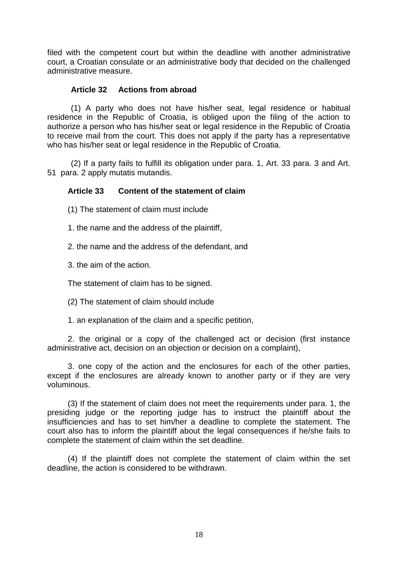filed with the competent court but within the deadline with another administrative court, a Croatian consulate or an administrative body that decided on the challenged administrative measure.

### **Article 32 Actions from abroad**

(1) A party who does not have his/her seat, legal residence or habitual residence in the Republic of Croatia, is obliged upon the filing of the action to authorize a person who has his/her seat or legal residence in the Republic of Croatia to receive mail from the court. This does not apply if the party has a representative who has his/her seat or legal residence in the Republic of Croatia.

(2) If a party fails to fulfill its obligation under para. 1, Art. 33 para. 3 and Art. 51 para. 2 apply mutatis mutandis.

### **Article 33 Content of the statement of claim**

(1) The statement of claim must include

1. the name and the address of the plaintiff,

2. the name and the address of the defendant, and

3. the aim of the action.

The statement of claim has to be signed.

(2) The statement of claim should include

1. an explanation of the claim and a specific petition,

2. the original or a copy of the challenged act or decision (first instance administrative act, decision on an objection or decision on a complaint),

3. one copy of the action and the enclosures for each of the other parties, except if the enclosures are already known to another party or if they are very voluminous.

(3) If the statement of claim does not meet the requirements under para. 1, the presiding judge or the reporting judge has to instruct the plaintiff about the insufficiencies and has to set him/her a deadline to complete the statement. The court also has to inform the plaintiff about the legal consequences if he/she fails to complete the statement of claim within the set deadline.

(4) If the plaintiff does not complete the statement of claim within the set deadline, the action is considered to be withdrawn.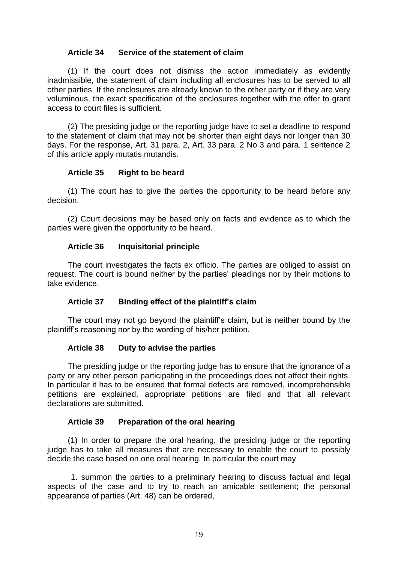### **Article 34 Service of the statement of claim**

(1) If the court does not dismiss the action immediately as evidently inadmissible, the statement of claim including all enclosures has to be served to all other parties. If the enclosures are already known to the other party or if they are very voluminous, the exact specification of the enclosures together with the offer to grant access to court files is sufficient.

(2) The presiding judge or the reporting judge have to set a deadline to respond to the statement of claim that may not be shorter than eight days nor longer than 30 days. For the response, Art. 31 para. 2, Art. 33 para. 2 No 3 and para. 1 sentence 2 of this article apply mutatis mutandis.

### **Article 35 Right to be heard**

(1) The court has to give the parties the opportunity to be heard before any decision.

(2) Court decisions may be based only on facts and evidence as to which the parties were given the opportunity to be heard.

### **Article 36 Inquisitorial principle**

The court investigates the facts ex officio. The parties are obliged to assist on request. The court is bound neither by the parties' pleadings nor by their motions to take evidence.

### **Article 37 Binding effect of the plaintiff's claim**

The court may not go beyond the plaintiff's claim, but is neither bound by the plaintiff's reasoning nor by the wording of his/her petition.

#### **Article 38 Duty to advise the parties**

The presiding judge or the reporting judge has to ensure that the ignorance of a party or any other person participating in the proceedings does not affect their rights. In particular it has to be ensured that formal defects are removed, incomprehensible petitions are explained, appropriate petitions are filed and that all relevant declarations are submitted.

#### **Article 39 Preparation of the oral hearing**

(1) In order to prepare the oral hearing, the presiding judge or the reporting judge has to take all measures that are necessary to enable the court to possibly decide the case based on one oral hearing. In particular the court may

1. summon the parties to a preliminary hearing to discuss factual and legal aspects of the case and to try to reach an amicable settlement; the personal appearance of parties (Art. 48) can be ordered,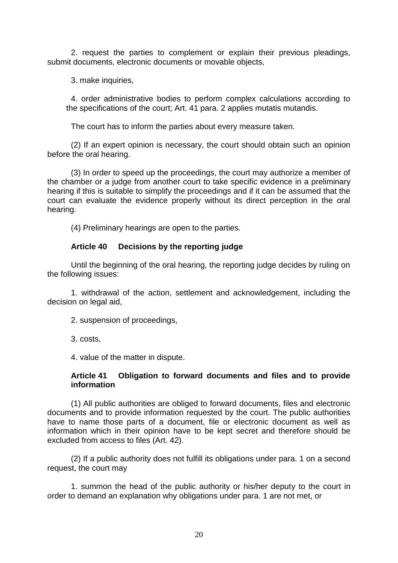2. request the parties to complement or explain their previous pleadings, submit documents, electronic documents or movable objects,

3. make inquiries,

4. order administrative bodies to perform complex calculations according to the specifications of the court; Art. 41 para. 2 applies mutatis mutandis.

The court has to inform the parties about every measure taken.

(2) If an expert opinion is necessary, the court should obtain such an opinion before the oral hearing.

(3) In order to speed up the proceedings, the court may authorize a member of the chamber or a judge from another court to take specific evidence in a preliminary hearing if this is suitable to simplify the proceedings and if it can be assumed that the court can evaluate the evidence properly without its direct perception in the oral hearing.

(4) Preliminary hearings are open to the parties.

### **Article 40 Decisions by the reporting judge**

Until the beginning of the oral hearing, the reporting judge decides by ruling on the following issues:

1. withdrawal of the action, settlement and acknowledgement, including the decision on legal aid,

2. suspension of proceedings,

3. costs,

4. value of the matter in dispute.

### **Article 41 Obligation to forward documents and files and to provide information**

(1) All public authorities are obliged to forward documents, files and electronic documents and to provide information requested by the court. The public authorities have to name those parts of a document, file or electronic document as well as information which in their opinion have to be kept secret and therefore should be excluded from access to files (Art. 42).

(2) If a public authority does not fulfill its obligations under para. 1 on a second request, the court may

1. summon the head of the public authority or his/her deputy to the court in order to demand an explanation why obligations under para. 1 are not met, or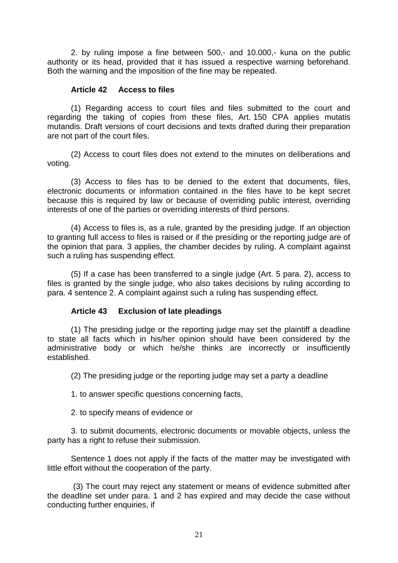2. by ruling impose a fine between 500,- and 10.000,- kuna on the public authority or its head, provided that it has issued a respective warning beforehand. Both the warning and the imposition of the fine may be repeated.

### **Article 42 Access to files**

(1) Regarding access to court files and files submitted to the court and regarding the taking of copies from these files, Art. 150 CPA applies mutatis mutandis. Draft versions of court decisions and texts drafted during their preparation are not part of the court files.

(2) Access to court files does not extend to the minutes on deliberations and voting.

(3) Access to files has to be denied to the extent that documents, files, electronic documents or information contained in the files have to be kept secret because this is required by law or because of overriding public interest, overriding interests of one of the parties or overriding interests of third persons.

(4) Access to files is, as a rule, granted by the presiding judge. If an objection to granting full access to files is raised or if the presiding or the reporting judge are of the opinion that para. 3 applies, the chamber decides by ruling. A complaint against such a ruling has suspending effect.

(5) If a case has been transferred to a single judge (Art. 5 para. 2), access to files is granted by the single judge, who also takes decisions by ruling according to para. 4 sentence 2. A complaint against such a ruling has suspending effect.

### **Article 43 Exclusion of late pleadings**

(1) The presiding judge or the reporting judge may set the plaintiff a deadline to state all facts which in his/her opinion should have been considered by the administrative body or which he/she thinks are incorrectly or insufficiently established.

(2) The presiding judge or the reporting judge may set a party a deadline

1. to answer specific questions concerning facts,

2. to specify means of evidence or

3. to submit documents, electronic documents or movable objects, unless the party has a right to refuse their submission.

Sentence 1 does not apply if the facts of the matter may be investigated with little effort without the cooperation of the party.

(3) The court may reject any statement or means of evidence submitted after the deadline set under para. 1 and 2 has expired and may decide the case without conducting further enquiries, if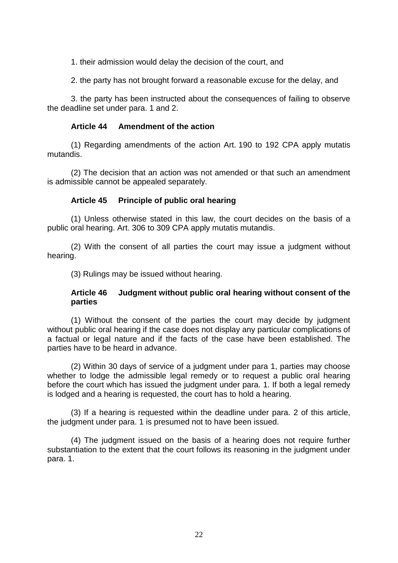1. their admission would delay the decision of the court, and

2. the party has not brought forward a reasonable excuse for the delay, and

3. the party has been instructed about the consequences of failing to observe the deadline set under para. 1 and 2.

### **Article 44 Amendment of the action**

(1) Regarding amendments of the action Art. 190 to 192 CPA apply mutatis mutandis.

(2) The decision that an action was not amended or that such an amendment is admissible cannot be appealed separately.

### **Article 45 Principle of public oral hearing**

(1) Unless otherwise stated in this law, the court decides on the basis of a public oral hearing. Art. 306 to 309 CPA apply mutatis mutandis.

(2) With the consent of all parties the court may issue a judgment without hearing.

(3) Rulings may be issued without hearing.

### **Article 46 Judgment without public oral hearing without consent of the parties**

(1) Without the consent of the parties the court may decide by judgment without public oral hearing if the case does not display any particular complications of a factual or legal nature and if the facts of the case have been established. The parties have to be heard in advance.

(2) Within 30 days of service of a judgment under para 1, parties may choose whether to lodge the admissible legal remedy or to request a public oral hearing before the court which has issued the judgment under para. 1. If both a legal remedy is lodged and a hearing is requested, the court has to hold a hearing.

(3) If a hearing is requested within the deadline under para. 2 of this article, the judgment under para. 1 is presumed not to have been issued.

(4) The judgment issued on the basis of a hearing does not require further substantiation to the extent that the court follows its reasoning in the judgment under para. 1.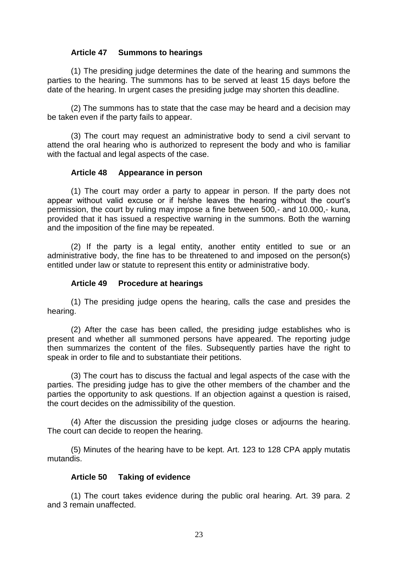### **Article 47 Summons to hearings**

(1) The presiding judge determines the date of the hearing and summons the parties to the hearing. The summons has to be served at least 15 days before the date of the hearing. In urgent cases the presiding judge may shorten this deadline.

(2) The summons has to state that the case may be heard and a decision may be taken even if the party fails to appear.

(3) The court may request an administrative body to send a civil servant to attend the oral hearing who is authorized to represent the body and who is familiar with the factual and legal aspects of the case.

### **Article 48 Appearance in person**

(1) The court may order a party to appear in person. If the party does not appear without valid excuse or if he/she leaves the hearing without the court's permission, the court by ruling may impose a fine between 500,- and 10.000,- kuna, provided that it has issued a respective warning in the summons. Both the warning and the imposition of the fine may be repeated.

(2) If the party is a legal entity, another entity entitled to sue or an administrative body, the fine has to be threatened to and imposed on the person(s) entitled under law or statute to represent this entity or administrative body.

#### **Article 49 Procedure at hearings**

(1) The presiding judge opens the hearing, calls the case and presides the hearing.

(2) After the case has been called, the presiding judge establishes who is present and whether all summoned persons have appeared. The reporting judge then summarizes the content of the files. Subsequently parties have the right to speak in order to file and to substantiate their petitions.

(3) The court has to discuss the factual and legal aspects of the case with the parties. The presiding judge has to give the other members of the chamber and the parties the opportunity to ask questions. If an objection against a question is raised, the court decides on the admissibility of the question.

(4) After the discussion the presiding judge closes or adjourns the hearing. The court can decide to reopen the hearing.

(5) Minutes of the hearing have to be kept. Art. 123 to 128 CPA apply mutatis mutandis.

#### **Article 50 Taking of evidence**

(1) The court takes evidence during the public oral hearing. Art. 39 para. 2 and 3 remain unaffected.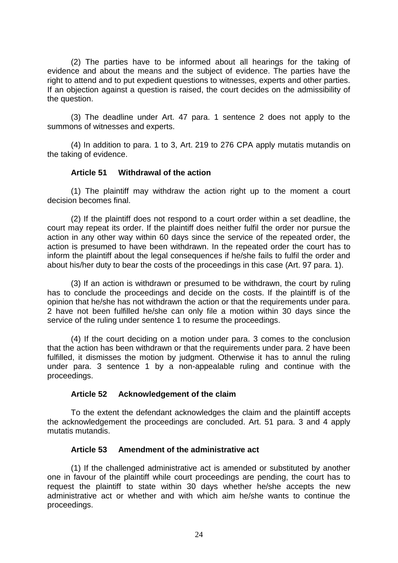(2) The parties have to be informed about all hearings for the taking of evidence and about the means and the subject of evidence. The parties have the right to attend and to put expedient questions to witnesses, experts and other parties. If an objection against a question is raised, the court decides on the admissibility of the question.

(3) The deadline under Art. 47 para. 1 sentence 2 does not apply to the summons of witnesses and experts.

(4) In addition to para. 1 to 3, Art. 219 to 276 CPA apply mutatis mutandis on the taking of evidence.

### **Article 51 Withdrawal of the action**

(1) The plaintiff may withdraw the action right up to the moment a court decision becomes final.

(2) If the plaintiff does not respond to a court order within a set deadline, the court may repeat its order. If the plaintiff does neither fulfil the order nor pursue the action in any other way within 60 days since the service of the repeated order, the action is presumed to have been withdrawn. In the repeated order the court has to inform the plaintiff about the legal consequences if he/she fails to fulfil the order and about his/her duty to bear the costs of the proceedings in this case (Art. 97 para. 1).

(3) If an action is withdrawn or presumed to be withdrawn, the court by ruling has to conclude the proceedings and decide on the costs. If the plaintiff is of the opinion that he/she has not withdrawn the action or that the requirements under para. 2 have not been fulfilled he/she can only file a motion within 30 days since the service of the ruling under sentence 1 to resume the proceedings.

(4) If the court deciding on a motion under para. 3 comes to the conclusion that the action has been withdrawn or that the requirements under para. 2 have been fulfilled, it dismisses the motion by judgment. Otherwise it has to annul the ruling under para. 3 sentence 1 by a non-appealable ruling and continue with the proceedings.

#### **Article 52 Acknowledgement of the claim**

To the extent the defendant acknowledges the claim and the plaintiff accepts the acknowledgement the proceedings are concluded. Art. 51 para. 3 and 4 apply mutatis mutandis.

### **Article 53 Amendment of the administrative act**

(1) If the challenged administrative act is amended or substituted by another one in favour of the plaintiff while court proceedings are pending, the court has to request the plaintiff to state within 30 days whether he/she accepts the new administrative act or whether and with which aim he/she wants to continue the proceedings.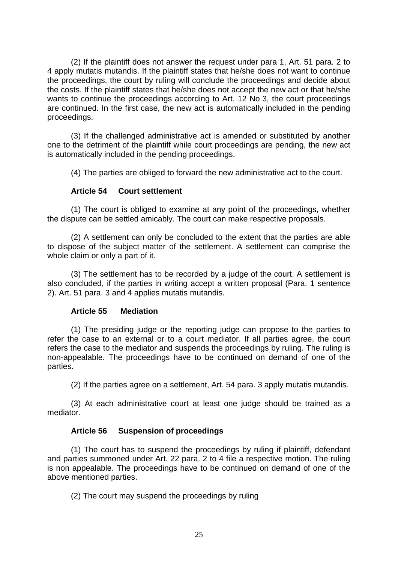(2) If the plaintiff does not answer the request under para 1, Art. 51 para. 2 to 4 apply mutatis mutandis. If the plaintiff states that he/she does not want to continue the proceedings, the court by ruling will conclude the proceedings and decide about the costs. If the plaintiff states that he/she does not accept the new act or that he/she wants to continue the proceedings according to Art. 12 No 3, the court proceedings are continued. In the first case, the new act is automatically included in the pending proceedings.

(3) If the challenged administrative act is amended or substituted by another one to the detriment of the plaintiff while court proceedings are pending, the new act is automatically included in the pending proceedings.

(4) The parties are obliged to forward the new administrative act to the court.

### **Article 54 Court settlement**

(1) The court is obliged to examine at any point of the proceedings, whether the dispute can be settled amicably. The court can make respective proposals.

(2) A settlement can only be concluded to the extent that the parties are able to dispose of the subject matter of the settlement. A settlement can comprise the whole claim or only a part of it.

(3) The settlement has to be recorded by a judge of the court. A settlement is also concluded, if the parties in writing accept a written proposal (Para. 1 sentence 2). Art. 51 para. 3 and 4 applies mutatis mutandis.

### **Article 55 Mediation**

(1) The presiding judge or the reporting judge can propose to the parties to refer the case to an external or to a court mediator. If all parties agree, the court refers the case to the mediator and suspends the proceedings by ruling. The ruling is non-appealable. The proceedings have to be continued on demand of one of the parties.

(2) If the parties agree on a settlement, Art. 54 para. 3 apply mutatis mutandis.

(3) At each administrative court at least one judge should be trained as a mediator.

### **Article 56 Suspension of proceedings**

(1) The court has to suspend the proceedings by ruling if plaintiff, defendant and parties summoned under Art. 22 para. 2 to 4 file a respective motion. The ruling is non appealable. The proceedings have to be continued on demand of one of the above mentioned parties.

(2) The court may suspend the proceedings by ruling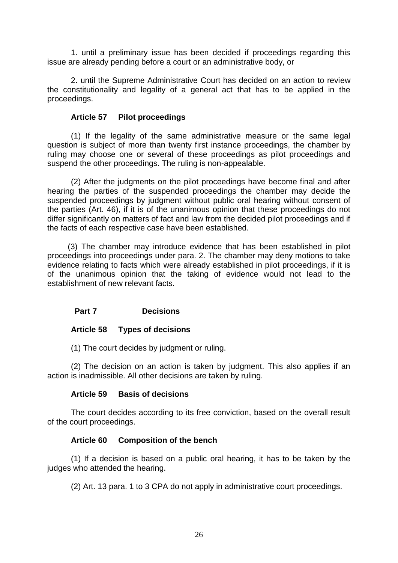1. until a preliminary issue has been decided if proceedings regarding this issue are already pending before a court or an administrative body, or

2. until the Supreme Administrative Court has decided on an action to review the constitutionality and legality of a general act that has to be applied in the proceedings.

### **Article 57 Pilot proceedings**

(1) If the legality of the same administrative measure or the same legal question is subject of more than twenty first instance proceedings, the chamber by ruling may choose one or several of these proceedings as pilot proceedings and suspend the other proceedings. The ruling is non-appealable.

(2) After the judgments on the pilot proceedings have become final and after hearing the parties of the suspended proceedings the chamber may decide the suspended proceedings by judgment without public oral hearing without consent of the parties (Art. 46), if it is of the unanimous opinion that these proceedings do not differ significantly on matters of fact and law from the decided pilot proceedings and if the facts of each respective case have been established.

(3) The chamber may introduce evidence that has been established in pilot proceedings into proceedings under para. 2. The chamber may deny motions to take evidence relating to facts which were already established in pilot proceedings, if it is of the unanimous opinion that the taking of evidence would not lead to the establishment of new relevant facts.

### **Part 7 Decisions**

#### **Article 58 Types of decisions**

(1) The court decides by judgment or ruling.

(2) The decision on an action is taken by judgment. This also applies if an action is inadmissible. All other decisions are taken by ruling.

#### **Article 59 Basis of decisions**

The court decides according to its free conviction, based on the overall result of the court proceedings.

### **Article 60 Composition of the bench**

(1) If a decision is based on a public oral hearing, it has to be taken by the judges who attended the hearing.

(2) Art. 13 para. 1 to 3 CPA do not apply in administrative court proceedings.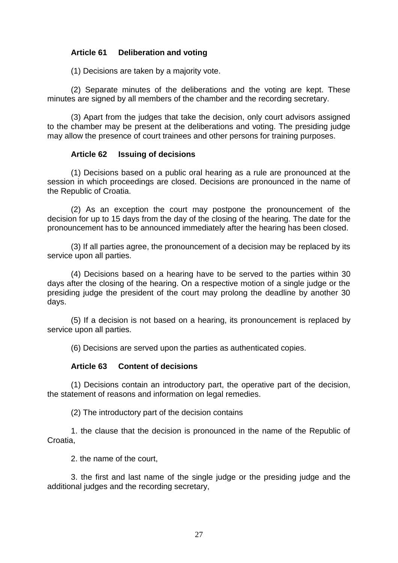### **Article 61 Deliberation and voting**

(1) Decisions are taken by a majority vote.

(2) Separate minutes of the deliberations and the voting are kept. These minutes are signed by all members of the chamber and the recording secretary.

(3) Apart from the judges that take the decision, only court advisors assigned to the chamber may be present at the deliberations and voting. The presiding judge may allow the presence of court trainees and other persons for training purposes.

### **Article 62 Issuing of decisions**

(1) Decisions based on a public oral hearing as a rule are pronounced at the session in which proceedings are closed. Decisions are pronounced in the name of the Republic of Croatia.

(2) As an exception the court may postpone the pronouncement of the decision for up to 15 days from the day of the closing of the hearing. The date for the pronouncement has to be announced immediately after the hearing has been closed.

(3) If all parties agree, the pronouncement of a decision may be replaced by its service upon all parties.

(4) Decisions based on a hearing have to be served to the parties within 30 days after the closing of the hearing. On a respective motion of a single judge or the presiding judge the president of the court may prolong the deadline by another 30 days.

(5) If a decision is not based on a hearing, its pronouncement is replaced by service upon all parties.

(6) Decisions are served upon the parties as authenticated copies.

### **Article 63 Content of decisions**

(1) Decisions contain an introductory part, the operative part of the decision, the statement of reasons and information on legal remedies.

(2) The introductory part of the decision contains

1. the clause that the decision is pronounced in the name of the Republic of Croatia,

2. the name of the court,

3. the first and last name of the single judge or the presiding judge and the additional judges and the recording secretary,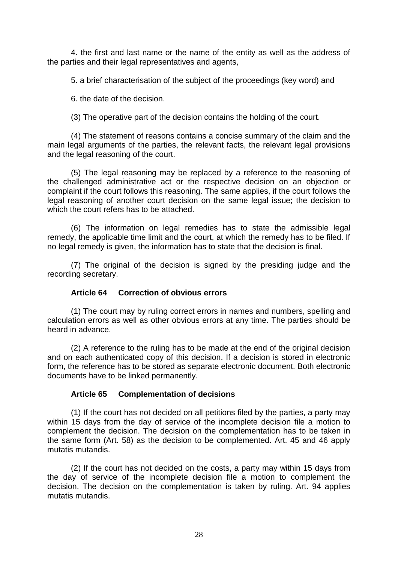4. the first and last name or the name of the entity as well as the address of the parties and their legal representatives and agents,

5. a brief characterisation of the subject of the proceedings (key word) and

6. the date of the decision.

(3) The operative part of the decision contains the holding of the court.

(4) The statement of reasons contains a concise summary of the claim and the main legal arguments of the parties, the relevant facts, the relevant legal provisions and the legal reasoning of the court.

(5) The legal reasoning may be replaced by a reference to the reasoning of the challenged administrative act or the respective decision on an objection or complaint if the court follows this reasoning. The same applies, if the court follows the legal reasoning of another court decision on the same legal issue; the decision to which the court refers has to be attached.

(6) The information on legal remedies has to state the admissible legal remedy, the applicable time limit and the court, at which the remedy has to be filed. If no legal remedy is given, the information has to state that the decision is final.

(7) The original of the decision is signed by the presiding judge and the recording secretary.

### **Article 64 Correction of obvious errors**

(1) The court may by ruling correct errors in names and numbers, spelling and calculation errors as well as other obvious errors at any time. The parties should be heard in advance.

(2) A reference to the ruling has to be made at the end of the original decision and on each authenticated copy of this decision. If a decision is stored in electronic form, the reference has to be stored as separate electronic document. Both electronic documents have to be linked permanently.

### **Article 65 Complementation of decisions**

(1) If the court has not decided on all petitions filed by the parties, a party may within 15 days from the day of service of the incomplete decision file a motion to complement the decision. The decision on the complementation has to be taken in the same form (Art. 58) as the decision to be complemented. Art. 45 and 46 apply mutatis mutandis.

(2) If the court has not decided on the costs, a party may within 15 days from the day of service of the incomplete decision file a motion to complement the decision. The decision on the complementation is taken by ruling. Art. 94 applies mutatis mutandis.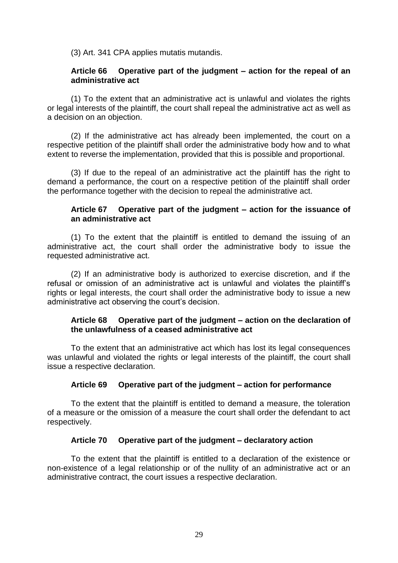(3) Art. 341 CPA applies mutatis mutandis.

### **Article 66 Operative part of the judgment – action for the repeal of an administrative act**

(1) To the extent that an administrative act is unlawful and violates the rights or legal interests of the plaintiff, the court shall repeal the administrative act as well as a decision on an objection.

(2) If the administrative act has already been implemented, the court on a respective petition of the plaintiff shall order the administrative body how and to what extent to reverse the implementation, provided that this is possible and proportional.

(3) If due to the repeal of an administrative act the plaintiff has the right to demand a performance, the court on a respective petition of the plaintiff shall order the performance together with the decision to repeal the administrative act.

### **Article 67 Operative part of the judgment – action for the issuance of an administrative act**

(1) To the extent that the plaintiff is entitled to demand the issuing of an administrative act, the court shall order the administrative body to issue the requested administrative act.

(2) If an administrative body is authorized to exercise discretion, and if the refusal or omission of an administrative act is unlawful and violates the plaintiff's rights or legal interests, the court shall order the administrative body to issue a new administrative act observing the court's decision.

### **Article 68 Operative part of the judgment – action on the declaration of the unlawfulness of a ceased administrative act**

To the extent that an administrative act which has lost its legal consequences was unlawful and violated the rights or legal interests of the plaintiff, the court shall issue a respective declaration.

### **Article 69 Operative part of the judgment – action for performance**

To the extent that the plaintiff is entitled to demand a measure, the toleration of a measure or the omission of a measure the court shall order the defendant to act respectively.

#### **Article 70 Operative part of the judgment – declaratory action**

To the extent that the plaintiff is entitled to a declaration of the existence or non-existence of a legal relationship or of the nullity of an administrative act or an administrative contract, the court issues a respective declaration.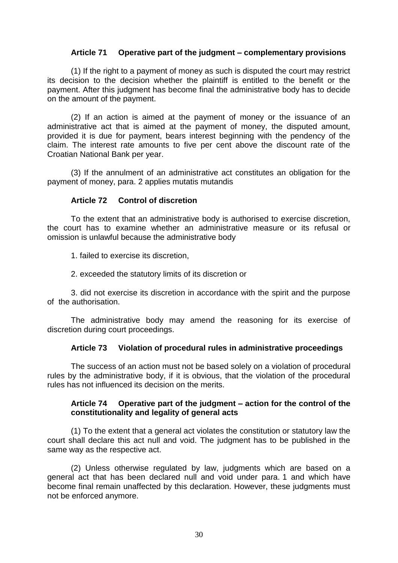### **Article 71 Operative part of the judgment – complementary provisions**

(1) If the right to a payment of money as such is disputed the court may restrict its decision to the decision whether the plaintiff is entitled to the benefit or the payment. After this judgment has become final the administrative body has to decide on the amount of the payment.

(2) If an action is aimed at the payment of money or the issuance of an administrative act that is aimed at the payment of money, the disputed amount, provided it is due for payment, bears interest beginning with the pendency of the claim. The interest rate amounts to five per cent above the discount rate of the Croatian National Bank per year.

(3) If the annulment of an administrative act constitutes an obligation for the payment of money, para. 2 applies mutatis mutandis

#### **Article 72 Control of discretion**

To the extent that an administrative body is authorised to exercise discretion, the court has to examine whether an administrative measure or its refusal or omission is unlawful because the administrative body

1. failed to exercise its discretion,

2. exceeded the statutory limits of its discretion or

3. did not exercise its discretion in accordance with the spirit and the purpose of the authorisation.

The administrative body may amend the reasoning for its exercise of discretion during court proceedings.

### **Article 73 Violation of procedural rules in administrative proceedings**

The success of an action must not be based solely on a violation of procedural rules by the administrative body, if it is obvious, that the violation of the procedural rules has not influenced its decision on the merits.

### **Article 74 Operative part of the judgment – action for the control of the constitutionality and legality of general acts**

(1) To the extent that a general act violates the constitution or statutory law the court shall declare this act null and void. The judgment has to be published in the same way as the respective act.

(2) Unless otherwise regulated by law, judgments which are based on a general act that has been declared null and void under para. 1 and which have become final remain unaffected by this declaration. However, these judgments must not be enforced anymore.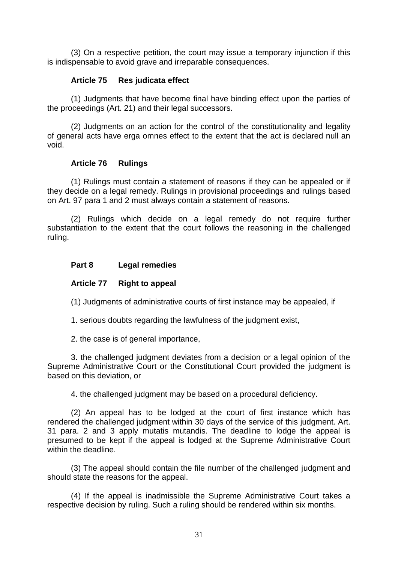(3) On a respective petition, the court may issue a temporary injunction if this is indispensable to avoid grave and irreparable consequences.

### **Article 75 Res judicata effect**

(1) Judgments that have become final have binding effect upon the parties of the proceedings (Art. 21) and their legal successors.

(2) Judgments on an action for the control of the constitutionality and legality of general acts have erga omnes effect to the extent that the act is declared null an void.

### **Article 76 Rulings**

(1) Rulings must contain a statement of reasons if they can be appealed or if they decide on a legal remedy. Rulings in provisional proceedings and rulings based on Art. 97 para 1 and 2 must always contain a statement of reasons.

(2) Rulings which decide on a legal remedy do not require further substantiation to the extent that the court follows the reasoning in the challenged ruling.

### **Part 8 Legal remedies**

### **Article 77 Right to appeal**

(1) Judgments of administrative courts of first instance may be appealed, if

1. serious doubts regarding the lawfulness of the judgment exist,

2. the case is of general importance,

3. the challenged judgment deviates from a decision or a legal opinion of the Supreme Administrative Court or the Constitutional Court provided the judgment is based on this deviation, or

4. the challenged judgment may be based on a procedural deficiency.

(2) An appeal has to be lodged at the court of first instance which has rendered the challenged judgment within 30 days of the service of this judgment. Art. 31 para. 2 and 3 apply mutatis mutandis. The deadline to lodge the appeal is presumed to be kept if the appeal is lodged at the Supreme Administrative Court within the deadline.

(3) The appeal should contain the file number of the challenged judgment and should state the reasons for the appeal.

(4) If the appeal is inadmissible the Supreme Administrative Court takes a respective decision by ruling. Such a ruling should be rendered within six months.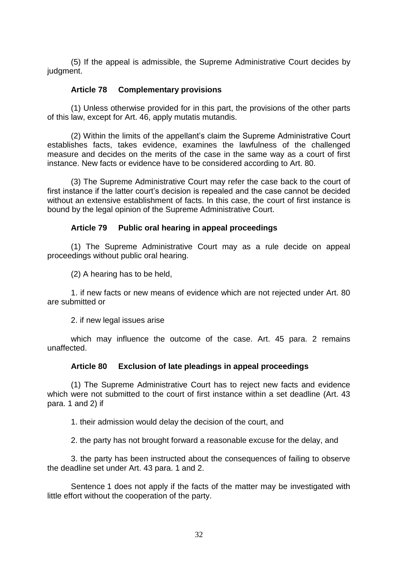(5) If the appeal is admissible, the Supreme Administrative Court decides by judgment.

### **Article 78 Complementary provisions**

(1) Unless otherwise provided for in this part, the provisions of the other parts of this law, except for Art. 46, apply mutatis mutandis.

(2) Within the limits of the appellant's claim the Supreme Administrative Court establishes facts, takes evidence, examines the lawfulness of the challenged measure and decides on the merits of the case in the same way as a court of first instance. New facts or evidence have to be considered according to Art. 80.

(3) The Supreme Administrative Court may refer the case back to the court of first instance if the latter court's decision is repealed and the case cannot be decided without an extensive establishment of facts. In this case, the court of first instance is bound by the legal opinion of the Supreme Administrative Court.

### **Article 79 Public oral hearing in appeal proceedings**

(1) The Supreme Administrative Court may as a rule decide on appeal proceedings without public oral hearing.

(2) A hearing has to be held,

1. if new facts or new means of evidence which are not rejected under Art. 80 are submitted or

2. if new legal issues arise

which may influence the outcome of the case. Art. 45 para. 2 remains unaffected.

#### **Article 80 Exclusion of late pleadings in appeal proceedings**

(1) The Supreme Administrative Court has to reject new facts and evidence which were not submitted to the court of first instance within a set deadline (Art. 43 para. 1 and 2) if

1. their admission would delay the decision of the court, and

2. the party has not brought forward a reasonable excuse for the delay, and

3. the party has been instructed about the consequences of failing to observe the deadline set under Art. 43 para. 1 and 2.

Sentence 1 does not apply if the facts of the matter may be investigated with little effort without the cooperation of the party.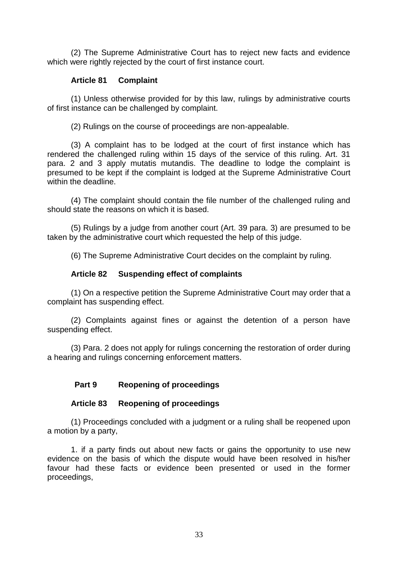(2) The Supreme Administrative Court has to reject new facts and evidence which were rightly rejected by the court of first instance court.

### **Article 81 Complaint**

(1) Unless otherwise provided for by this law, rulings by administrative courts of first instance can be challenged by complaint.

(2) Rulings on the course of proceedings are non-appealable.

(3) A complaint has to be lodged at the court of first instance which has rendered the challenged ruling within 15 days of the service of this ruling. Art. 31 para. 2 and 3 apply mutatis mutandis. The deadline to lodge the complaint is presumed to be kept if the complaint is lodged at the Supreme Administrative Court within the deadline.

(4) The complaint should contain the file number of the challenged ruling and should state the reasons on which it is based.

(5) Rulings by a judge from another court (Art. 39 para. 3) are presumed to be taken by the administrative court which requested the help of this judge.

(6) The Supreme Administrative Court decides on the complaint by ruling.

# **Article 82 Suspending effect of complaints**

(1) On a respective petition the Supreme Administrative Court may order that a complaint has suspending effect.

(2) Complaints against fines or against the detention of a person have suspending effect.

(3) Para. 2 does not apply for rulings concerning the restoration of order during a hearing and rulings concerning enforcement matters.

# **Part 9 Reopening of proceedings**

### **Article 83 Reopening of proceedings**

(1) Proceedings concluded with a judgment or a ruling shall be reopened upon a motion by a party,

1. if a party finds out about new facts or gains the opportunity to use new evidence on the basis of which the dispute would have been resolved in his/her favour had these facts or evidence been presented or used in the former proceedings,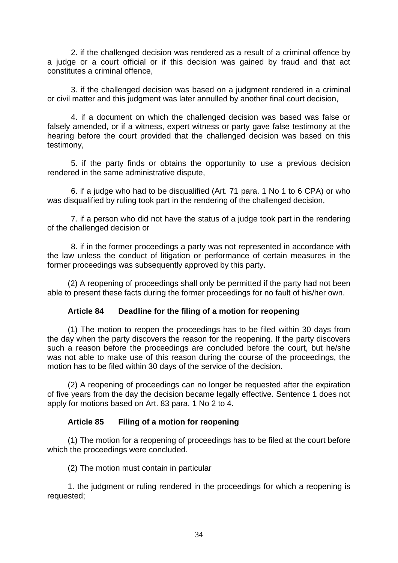2. if the challenged decision was rendered as a result of a criminal offence by a judge or a court official or if this decision was gained by fraud and that act constitutes a criminal offence,

3. if the challenged decision was based on a judgment rendered in a criminal or civil matter and this judgment was later annulled by another final court decision,

4. if a document on which the challenged decision was based was false or falsely amended, or if a witness, expert witness or party gave false testimony at the hearing before the court provided that the challenged decision was based on this testimony,

5. if the party finds or obtains the opportunity to use a previous decision rendered in the same administrative dispute,

6. if a judge who had to be disqualified (Art. 71 para. 1 No 1 to 6 CPA) or who was disqualified by ruling took part in the rendering of the challenged decision,

7. if a person who did not have the status of a judge took part in the rendering of the challenged decision or

8. if in the former proceedings a party was not represented in accordance with the law unless the conduct of litigation or performance of certain measures in the former proceedings was subsequently approved by this party.

(2) A reopening of proceedings shall only be permitted if the party had not been able to present these facts during the former proceedings for no fault of his/her own.

### **Article 84 Deadline for the filing of a motion for reopening**

(1) The motion to reopen the proceedings has to be filed within 30 days from the day when the party discovers the reason for the reopening. If the party discovers such a reason before the proceedings are concluded before the court, but he/she was not able to make use of this reason during the course of the proceedings, the motion has to be filed within 30 days of the service of the decision.

(2) A reopening of proceedings can no longer be requested after the expiration of five years from the day the decision became legally effective. Sentence 1 does not apply for motions based on Art. 83 para. 1 No 2 to 4.

#### **Article 85 Filing of a motion for reopening**

(1) The motion for a reopening of proceedings has to be filed at the court before which the proceedings were concluded.

(2) The motion must contain in particular

1. the judgment or ruling rendered in the proceedings for which a reopening is requested;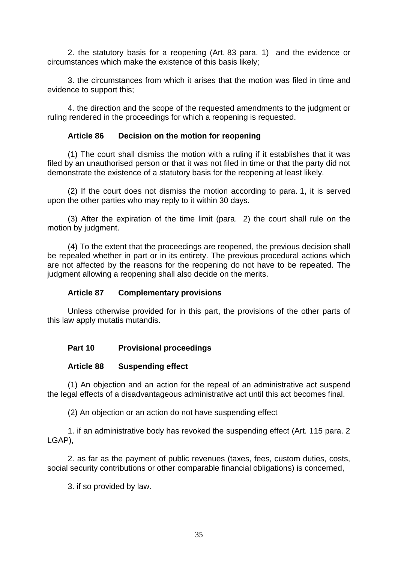2. the statutory basis for a reopening (Art. 83 para. 1) and the evidence or circumstances which make the existence of this basis likely;

3. the circumstances from which it arises that the motion was filed in time and evidence to support this;

4. the direction and the scope of the requested amendments to the judgment or ruling rendered in the proceedings for which a reopening is requested.

### **Article 86 Decision on the motion for reopening**

(1) The court shall dismiss the motion with a ruling if it establishes that it was filed by an unauthorised person or that it was not filed in time or that the party did not demonstrate the existence of a statutory basis for the reopening at least likely.

(2) If the court does not dismiss the motion according to para. 1, it is served upon the other parties who may reply to it within 30 days.

(3) After the expiration of the time limit (para. 2) the court shall rule on the motion by judgment.

(4) To the extent that the proceedings are reopened, the previous decision shall be repealed whether in part or in its entirety. The previous procedural actions which are not affected by the reasons for the reopening do not have to be repeated. The judgment allowing a reopening shall also decide on the merits.

### **Article 87 Complementary provisions**

Unless otherwise provided for in this part, the provisions of the other parts of this law apply mutatis mutandis.

# **Part 10 Provisional proceedings**

### **Article 88 Suspending effect**

(1) An objection and an action for the repeal of an administrative act suspend the legal effects of a disadvantageous administrative act until this act becomes final.

(2) An objection or an action do not have suspending effect

1. if an administrative body has revoked the suspending effect (Art. 115 para. 2 LGAP),

2. as far as the payment of public revenues (taxes, fees, custom duties, costs, social security contributions or other comparable financial obligations) is concerned,

3. if so provided by law.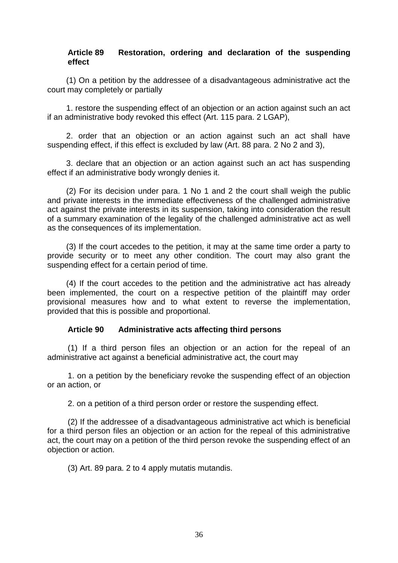### **Article 89 Restoration, ordering and declaration of the suspending effect**

(1) On a petition by the addressee of a disadvantageous administrative act the court may completely or partially

1. restore the suspending effect of an objection or an action against such an act if an administrative body revoked this effect (Art. 115 para. 2 LGAP),

2. order that an objection or an action against such an act shall have suspending effect, if this effect is excluded by law (Art. 88 para. 2 No 2 and 3),

3. declare that an objection or an action against such an act has suspending effect if an administrative body wrongly denies it.

(2) For its decision under para. 1 No 1 and 2 the court shall weigh the public and private interests in the immediate effectiveness of the challenged administrative act against the private interests in its suspension, taking into consideration the result of a summary examination of the legality of the challenged administrative act as well as the consequences of its implementation.

(3) If the court accedes to the petition, it may at the same time order a party to provide security or to meet any other condition. The court may also grant the suspending effect for a certain period of time.

(4) If the court accedes to the petition and the administrative act has already been implemented, the court on a respective petition of the plaintiff may order provisional measures how and to what extent to reverse the implementation, provided that this is possible and proportional.

#### **Article 90 Administrative acts affecting third persons**

(1) If a third person files an objection or an action for the repeal of an administrative act against a beneficial administrative act, the court may

1. on a petition by the beneficiary revoke the suspending effect of an objection or an action, or

2. on a petition of a third person order or restore the suspending effect.

(2) If the addressee of a disadvantageous administrative act which is beneficial for a third person files an objection or an action for the repeal of this administrative act, the court may on a petition of the third person revoke the suspending effect of an objection or action.

(3) Art. 89 para. 2 to 4 apply mutatis mutandis.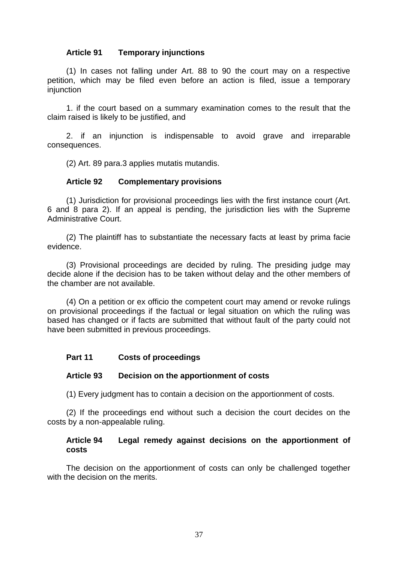### **Article 91 Temporary injunctions**

(1) In cases not falling under Art. 88 to 90 the court may on a respective petition, which may be filed even before an action is filed, issue a temporary injunction

1. if the court based on a summary examination comes to the result that the claim raised is likely to be justified, and

2. if an injunction is indispensable to avoid grave and irreparable consequences.

(2) Art. 89 para.3 applies mutatis mutandis.

### **Article 92 Complementary provisions**

(1) Jurisdiction for provisional proceedings lies with the first instance court (Art. 6 and 8 para 2). If an appeal is pending, the jurisdiction lies with the Supreme Administrative Court.

(2) The plaintiff has to substantiate the necessary facts at least by prima facie evidence.

(3) Provisional proceedings are decided by ruling. The presiding judge may decide alone if the decision has to be taken without delay and the other members of the chamber are not available.

(4) On a petition or ex officio the competent court may amend or revoke rulings on provisional proceedings if the factual or legal situation on which the ruling was based has changed or if facts are submitted that without fault of the party could not have been submitted in previous proceedings.

### **Part 11 Costs of proceedings**

### **Article 93 Decision on the apportionment of costs**

(1) Every judgment has to contain a decision on the apportionment of costs.

(2) If the proceedings end without such a decision the court decides on the costs by a non-appealable ruling.

### **Article 94 Legal remedy against decisions on the apportionment of costs**

The decision on the apportionment of costs can only be challenged together with the decision on the merits.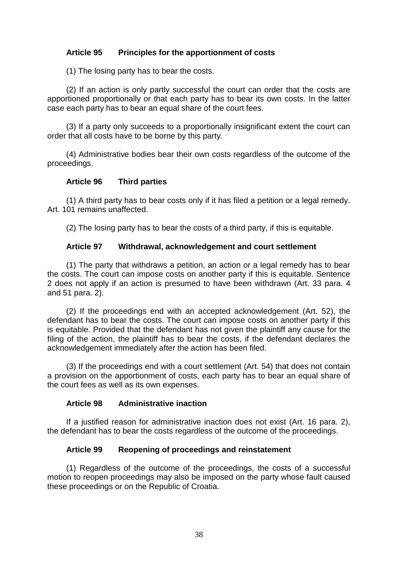# **Article 95 Principles for the apportionment of costs**

(1) The losing party has to bear the costs.

(2) If an action is only partly successful the court can order that the costs are apportioned proportionally or that each party has to bear its own costs. In the latter case each party has to bear an equal share of the court fees.

(3) If a party only succeeds to a proportionally insignificant extent the court can order that all costs have to be borne by this party.

(4) Administrative bodies bear their own costs regardless of the outcome of the proceedings.

### **Article 96 Third parties**

(1) A third party has to bear costs only if it has filed a petition or a legal remedy. Art. 101 remains unaffected.

(2) The losing party has to bear the costs of a third party, if this is equitable.

### **Article 97 Withdrawal, acknowledgement and court settlement**

(1) The party that withdraws a petition, an action or a legal remedy has to bear the costs. The court can impose costs on another party if this is equitable. Sentence 2 does not apply if an action is presumed to have been withdrawn (Art. 33 para. 4 and 51 para. 2).

(2) If the proceedings end with an accepted acknowledgement (Art. 52), the defendant has to bear the costs. The court can impose costs on another party if this is equitable. Provided that the defendant has not given the plaintiff any cause for the filing of the action, the plaintiff has to bear the costs, if the defendant declares the acknowledgement immediately after the action has been filed.

(3) If the proceedings end with a court settlement (Art. 54) that does not contain a provision on the apportionment of costs, each party has to bear an equal share of the court fees as well as its own expenses.

#### **Article 98 Administrative inaction**

If a justified reason for administrative inaction does not exist (Art. 16 para. 2), the defendant has to bear the costs regardless of the outcome of the proceedings.

### **Article 99 Reopening of proceedings and reinstatement**

(1) Regardless of the outcome of the proceedings, the costs of a successful motion to reopen proceedings may also be imposed on the party whose fault caused these proceedings or on the Republic of Croatia.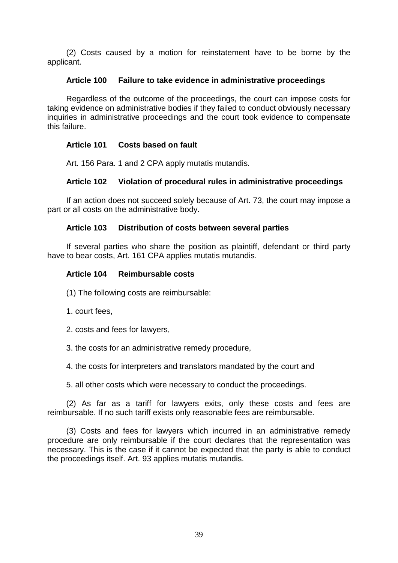(2) Costs caused by a motion for reinstatement have to be borne by the applicant.

### **Article 100 Failure to take evidence in administrative proceedings**

Regardless of the outcome of the proceedings, the court can impose costs for taking evidence on administrative bodies if they failed to conduct obviously necessary inquiries in administrative proceedings and the court took evidence to compensate this failure.

### **Article 101 Costs based on fault**

Art. 156 Para. 1 and 2 CPA apply mutatis mutandis.

### **Article 102 Violation of procedural rules in administrative proceedings**

If an action does not succeed solely because of Art. 73, the court may impose a part or all costs on the administrative body.

### **Article 103 Distribution of costs between several parties**

If several parties who share the position as plaintiff, defendant or third party have to bear costs, Art. 161 CPA applies mutatis mutandis.

### **Article 104 Reimbursable costs**

- (1) The following costs are reimbursable:
- 1. court fees,
- 2. costs and fees for lawyers,
- 3. the costs for an administrative remedy procedure,
- 4. the costs for interpreters and translators mandated by the court and
- 5. all other costs which were necessary to conduct the proceedings.

(2) As far as a tariff for lawyers exits, only these costs and fees are reimbursable. If no such tariff exists only reasonable fees are reimbursable.

(3) Costs and fees for lawyers which incurred in an administrative remedy procedure are only reimbursable if the court declares that the representation was necessary. This is the case if it cannot be expected that the party is able to conduct the proceedings itself. Art. 93 applies mutatis mutandis.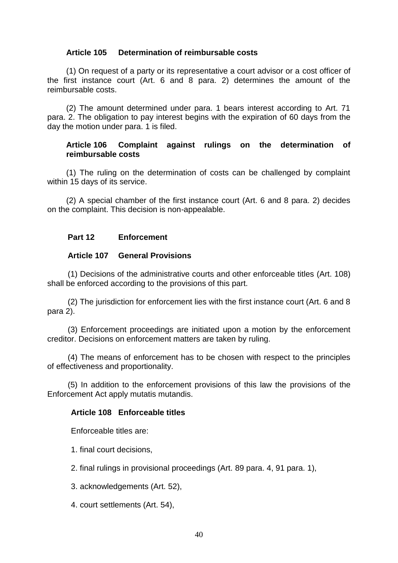### **Article 105 Determination of reimbursable costs**

(1) On request of a party or its representative a court advisor or a cost officer of the first instance court (Art. 6 and 8 para. 2) determines the amount of the reimbursable costs.

(2) The amount determined under para. 1 bears interest according to Art. 71 para. 2. The obligation to pay interest begins with the expiration of 60 days from the day the motion under para. 1 is filed.

### **Article 106 Complaint against rulings on the determination of reimbursable costs**

(1) The ruling on the determination of costs can be challenged by complaint within 15 days of its service.

(2) A special chamber of the first instance court (Art. 6 and 8 para. 2) decides on the complaint. This decision is non-appealable.

### **Part 12 Enforcement**

### **Article 107 General Provisions**

(1) Decisions of the administrative courts and other enforceable titles (Art. 108) shall be enforced according to the provisions of this part.

(2) The jurisdiction for enforcement lies with the first instance court (Art. 6 and 8 para 2).

(3) Enforcement proceedings are initiated upon a motion by the enforcement creditor. Decisions on enforcement matters are taken by ruling.

(4) The means of enforcement has to be chosen with respect to the principles of effectiveness and proportionality.

(5) In addition to the enforcement provisions of this law the provisions of the Enforcement Act apply mutatis mutandis.

#### **Article 108 Enforceable titles**

Enforceable titles are:

1. final court decisions,

2. final rulings in provisional proceedings (Art. 89 para. 4, 91 para. 1),

3. acknowledgements (Art. 52),

4. court settlements (Art. 54),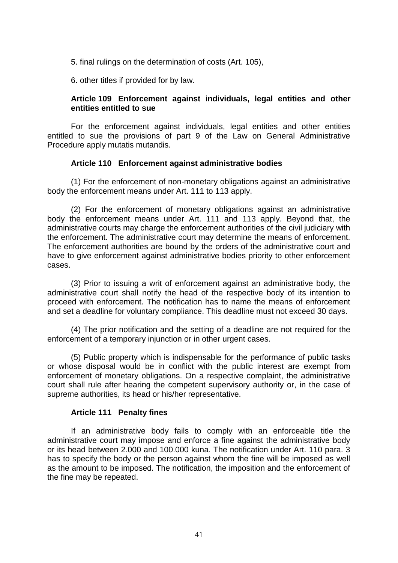5. final rulings on the determination of costs (Art. 105),

6. other titles if provided for by law.

### **Article 109 Enforcement against individuals, legal entities and other entities entitled to sue**

For the enforcement against individuals, legal entities and other entities entitled to sue the provisions of part 9 of the Law on General Administrative Procedure apply mutatis mutandis.

### **Article 110 Enforcement against administrative bodies**

(1) For the enforcement of non-monetary obligations against an administrative body the enforcement means under Art. 111 to 113 apply.

(2) For the enforcement of monetary obligations against an administrative body the enforcement means under Art. 111 and 113 apply. Beyond that, the administrative courts may charge the enforcement authorities of the civil judiciary with the enforcement. The administrative court may determine the means of enforcement. The enforcement authorities are bound by the orders of the administrative court and have to give enforcement against administrative bodies priority to other enforcement cases.

(3) Prior to issuing a writ of enforcement against an administrative body, the administrative court shall notify the head of the respective body of its intention to proceed with enforcement. The notification has to name the means of enforcement and set a deadline for voluntary compliance. This deadline must not exceed 30 days.

(4) The prior notification and the setting of a deadline are not required for the enforcement of a temporary injunction or in other urgent cases.

(5) Public property which is indispensable for the performance of public tasks or whose disposal would be in conflict with the public interest are exempt from enforcement of monetary obligations. On a respective complaint, the administrative court shall rule after hearing the competent supervisory authority or, in the case of supreme authorities, its head or his/her representative.

### **Article 111 Penalty fines**

If an administrative body fails to comply with an enforceable title the administrative court may impose and enforce a fine against the administrative body or its head between 2.000 and 100.000 kuna. The notification under Art. 110 para. 3 has to specify the body or the person against whom the fine will be imposed as well as the amount to be imposed. The notification, the imposition and the enforcement of the fine may be repeated.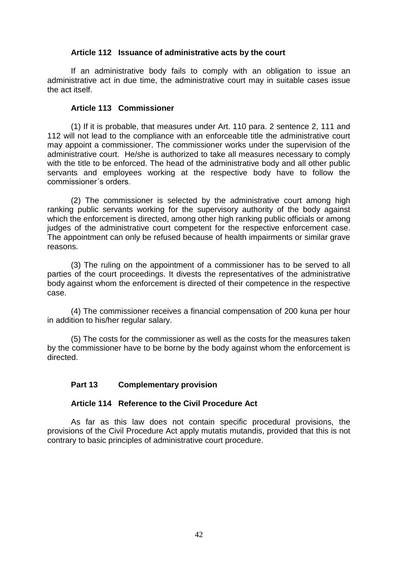### **Article 112 Issuance of administrative acts by the court**

If an administrative body fails to comply with an obligation to issue an administrative act in due time, the administrative court may in suitable cases issue the act itself.

#### **Article 113 Commissioner**

(1) If it is probable, that measures under Art. 110 para. 2 sentence 2, 111 and 112 will not lead to the compliance with an enforceable title the administrative court may appoint a commissioner. The commissioner works under the supervision of the administrative court. He/she is authorized to take all measures necessary to comply with the title to be enforced. The head of the administrative body and all other public servants and employees working at the respective body have to follow the commissioner´s orders.

(2) The commissioner is selected by the administrative court among high ranking public servants working for the supervisory authority of the body against which the enforcement is directed, among other high ranking public officials or among judges of the administrative court competent for the respective enforcement case. The appointment can only be refused because of health impairments or similar grave reasons.

(3) The ruling on the appointment of a commissioner has to be served to all parties of the court proceedings. It divests the representatives of the administrative body against whom the enforcement is directed of their competence in the respective case.

(4) The commissioner receives a financial compensation of 200 kuna per hour in addition to his/her regular salary.

(5) The costs for the commissioner as well as the costs for the measures taken by the commissioner have to be borne by the body against whom the enforcement is directed.

### **Part 13 Complementary provision**

### **Article 114 Reference to the Civil Procedure Act**

As far as this law does not contain specific procedural provisions, the provisions of the Civil Procedure Act apply mutatis mutandis, provided that this is not contrary to basic principles of administrative court procedure.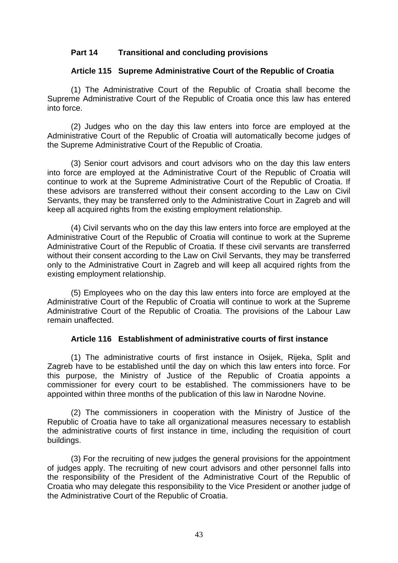### **Part 14 Transitional and concluding provisions**

### **Article 115 Supreme Administrative Court of the Republic of Croatia**

(1) The Administrative Court of the Republic of Croatia shall become the Supreme Administrative Court of the Republic of Croatia once this law has entered into force.

(2) Judges who on the day this law enters into force are employed at the Administrative Court of the Republic of Croatia will automatically become judges of the Supreme Administrative Court of the Republic of Croatia.

(3) Senior court advisors and court advisors who on the day this law enters into force are employed at the Administrative Court of the Republic of Croatia will continue to work at the Supreme Administrative Court of the Republic of Croatia. If these advisors are transferred without their consent according to the Law on Civil Servants, they may be transferred only to the Administrative Court in Zagreb and will keep all acquired rights from the existing employment relationship.

(4) Civil servants who on the day this law enters into force are employed at the Administrative Court of the Republic of Croatia will continue to work at the Supreme Administrative Court of the Republic of Croatia. If these civil servants are transferred without their consent according to the Law on Civil Servants, they may be transferred only to the Administrative Court in Zagreb and will keep all acquired rights from the existing employment relationship.

(5) Employees who on the day this law enters into force are employed at the Administrative Court of the Republic of Croatia will continue to work at the Supreme Administrative Court of the Republic of Croatia. The provisions of the Labour Law remain unaffected.

### **Article 116 Establishment of administrative courts of first instance**

(1) The administrative courts of first instance in Osijek, Rijeka, Split and Zagreb have to be established until the day on which this law enters into force. For this purpose, the Ministry of Justice of the Republic of Croatia appoints a commissioner for every court to be established. The commissioners have to be appointed within three months of the publication of this law in Narodne Novine.

(2) The commissioners in cooperation with the Ministry of Justice of the Republic of Croatia have to take all organizational measures necessary to establish the administrative courts of first instance in time, including the requisition of court buildings.

(3) For the recruiting of new judges the general provisions for the appointment of judges apply. The recruiting of new court advisors and other personnel falls into the responsibility of the President of the Administrative Court of the Republic of Croatia who may delegate this responsibility to the Vice President or another judge of the Administrative Court of the Republic of Croatia.